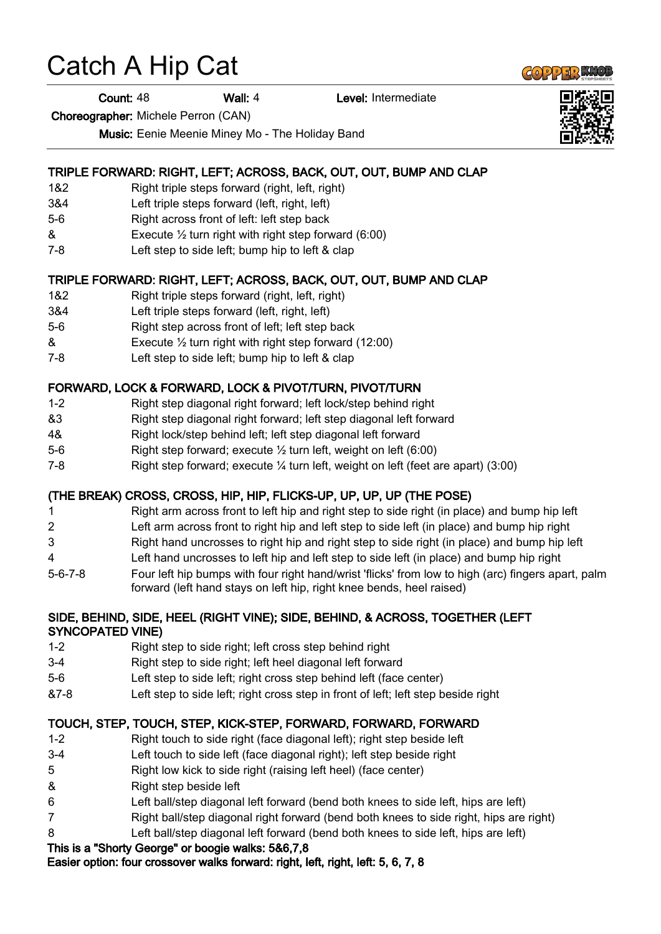# Catch A Hip Cat

**Count: 48 Wall: 4 Level: Intermediate** 

Choreographer: Michele Perron (CAN)

Music: Eenie Meenie Miney Mo - The Holiday Band

## TRIPLE FORWARD: RIGHT, LEFT; ACROSS, BACK, OUT, OUT, BUMP AND CLAP

- 1&2 Right triple steps forward (right, left, right)
- 3&4 Left triple steps forward (left, right, left)
- 5-6 Right across front of left: left step back
- & Execute ½ turn right with right step forward (6:00)
- 7-8 Left step to side left; bump hip to left & clap

### TRIPLE FORWARD: RIGHT, LEFT; ACROSS, BACK, OUT, OUT, BUMP AND CLAP

- 1&2 Right triple steps forward (right, left, right)
- 3&4 Left triple steps forward (left, right, left)
- 5-6 Right step across front of left; left step back
- $\&$  Execute  $\frac{1}{2}$  turn right with right step forward (12:00)
- 7-8 Left step to side left; bump hip to left & clap

### FORWARD, LOCK & FORWARD, LOCK & PIVOT/TURN, PIVOT/TURN

- 1-2 Right step diagonal right forward; left lock/step behind right
- &3 Right step diagonal right forward; left step diagonal left forward
- 4& Right lock/step behind left; left step diagonal left forward
- 5-6 Right step forward; execute ½ turn left, weight on left (6:00)
- 7-8 Right step forward; execute ¼ turn left, weight on left (feet are apart) (3:00)

## (THE BREAK) CROSS, CROSS, HIP, HIP, FLICKS-UP, UP, UP, UP (THE POSE)

- 1 Right arm across front to left hip and right step to side right (in place) and bump hip left
- 2 Left arm across front to right hip and left step to side left (in place) and bump hip right
- 3 Right hand uncrosses to right hip and right step to side right (in place) and bump hip left
- 4 Left hand uncrosses to left hip and left step to side left (in place) and bump hip right
- 5-6-7-8 Four left hip bumps with four right hand/wrist 'flicks' from low to high (arc) fingers apart, palm forward (left hand stays on left hip, right knee bends, heel raised)

#### SIDE, BEHIND, SIDE, HEEL (RIGHT VINE); SIDE, BEHIND, & ACROSS, TOGETHER (LEFT SYNCOPATED VINE)

- 1-2 Right step to side right; left cross step behind right
- 3-4 Right step to side right; left heel diagonal left forward
- 5-6 Left step to side left; right cross step behind left (face center)
- &7-8 Left step to side left; right cross step in front of left; left step beside right

#### TOUCH, STEP, TOUCH, STEP, KICK-STEP, FORWARD, FORWARD, FORWARD

- 1-2 Right touch to side right (face diagonal left); right step beside left
- 3-4 Left touch to side left (face diagonal right); left step beside right
- 5 Right low kick to side right (raising left heel) (face center)
- & Right step beside left
- 6 Left ball/step diagonal left forward (bend both knees to side left, hips are left)
- 7 Right ball/step diagonal right forward (bend both knees to side right, hips are right)
- 8 Left ball/step diagonal left forward (bend both knees to side left, hips are left)

## This is a "Shorty George" or boogie walks: 5&6,7,8

Easier option: four crossover walks forward: right, left, right, left: 5, 6, 7, 8